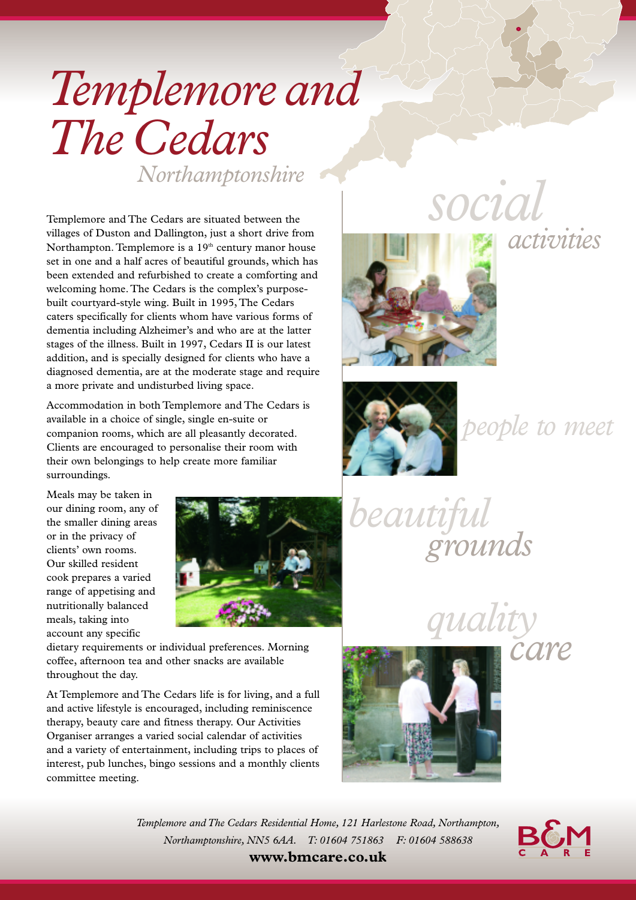# *Templemoreand The Cedars Northamptonshire*

Templemore and The Cedars are situated between the villages of Duston and Dallington, just a short drive from Northampton. Templemore is a 19<sup>th</sup> century manor house set in one and a half acres of beautiful grounds, which has been extended and refurbished to create a comforting and welcoming home. The Cedars is the complex's purposebuilt courtyard-style wing. Built in 1995, The Cedars caters specifically for clients whom have various forms of dementia including Alzheimer's and who are at the latter stages of the illness. Built in 1997, Cedars II is our latest addition, and is specially designed for clients who have a diagnosed dementia, are at the moderate stage and require a more private and undisturbed living space.

Accommodation in both Templemore and The Cedars is available in a choice of single, single en-suite or companion rooms, which are all pleasantly decorated. Clients are encouraged to personalise their room with their own belongings to help create more familiar surroundings.

Meals may be taken in our dining room, any of the smaller dining areas or in the privacy of clients' own rooms. Our skilled resident cook prepares a varied range of appetising and nutritionally balanced meals, taking into account any specific



dietary requirements or individual preferences. Morning coffee, afternoon tea and other snacks are available throughout the day.

At Templemore and The Cedars life is for living, and a full and active lifestyle is encouraged, including reminiscence therapy, beauty care and fitness therapy. Our Activities Organiser arranges a varied social calendar of activities and a variety of entertainment, including trips to places of interest, pub lunches, bingo sessions and a monthly clients committee meeting.







*people to meet*

*beautiful grounds*

*quality*



*care*

*Templemore and The Cedars Residential Home, 121 Harlestone Road, Northampton, Northamptonshire, NN5 6AA. T: 01604 751863 F: 01604 588638*



**www.bmcare.co.uk**